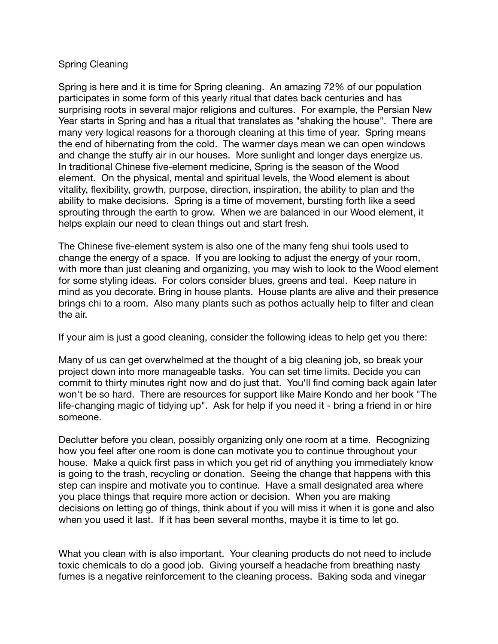## Spring Cleaning

Spring is here and it is time for Spring cleaning. An amazing 72% of our population participates in some form of this yearly ritual that dates back centuries and has surprising roots in several major religions and cultures. For example, the Persian New Year starts in Spring and has a ritual that translates as "shaking the house". There are many very logical reasons for a thorough cleaning at this time of year. Spring means the end of hibernating from the cold. The warmer days mean we can open windows and change the stuffy air in our houses. More sunlight and longer days energize us. In traditional Chinese five-element medicine, Spring is the season of the Wood element. On the physical, mental and spiritual levels, the Wood element is about vitality, flexibility, growth, purpose, direction, inspiration, the ability to plan and the ability to make decisions. Spring is a time of movement, bursting forth like a seed sprouting through the earth to grow. When we are balanced in our Wood element, it helps explain our need to clean things out and start fresh.

The Chinese five-element system is also one of the many feng shui tools used to change the energy of a space. If you are looking to adjust the energy of your room, with more than just cleaning and organizing, you may wish to look to the Wood element for some styling ideas. For colors consider blues, greens and teal. Keep nature in mind as you decorate. Bring in house plants. House plants are alive and their presence brings chi to a room. Also many plants such as pothos actually help to filter and clean the air.

If your aim is just a good cleaning, consider the following ideas to help get you there:

Many of us can get overwhelmed at the thought of a big cleaning job, so break your project down into more manageable tasks. You can set time limits. Decide you can commit to thirty minutes right now and do just that. You'll find coming back again later won't be so hard. There are resources for support like Maire Kondo and her book "The life-changing magic of tidying up". Ask for help if you need it - bring a friend in or hire someone.

Declutter before you clean, possibly organizing only one room at a time. Recognizing how you feel after one room is done can motivate you to continue throughout your house. Make a quick first pass in which you get rid of anything you immediately know is going to the trash, recycling or donation. Seeing the change that happens with this step can inspire and motivate you to continue. Have a small designated area where you place things that require more action or decision. When you are making decisions on letting go of things, think about if you will miss it when it is gone and also when you used it last. If it has been several months, maybe it is time to let go.

What you clean with is also important. Your cleaning products do not need to include toxic chemicals to do a good job. Giving yourself a headache from breathing nasty fumes is a negative reinforcement to the cleaning process. Baking soda and vinegar